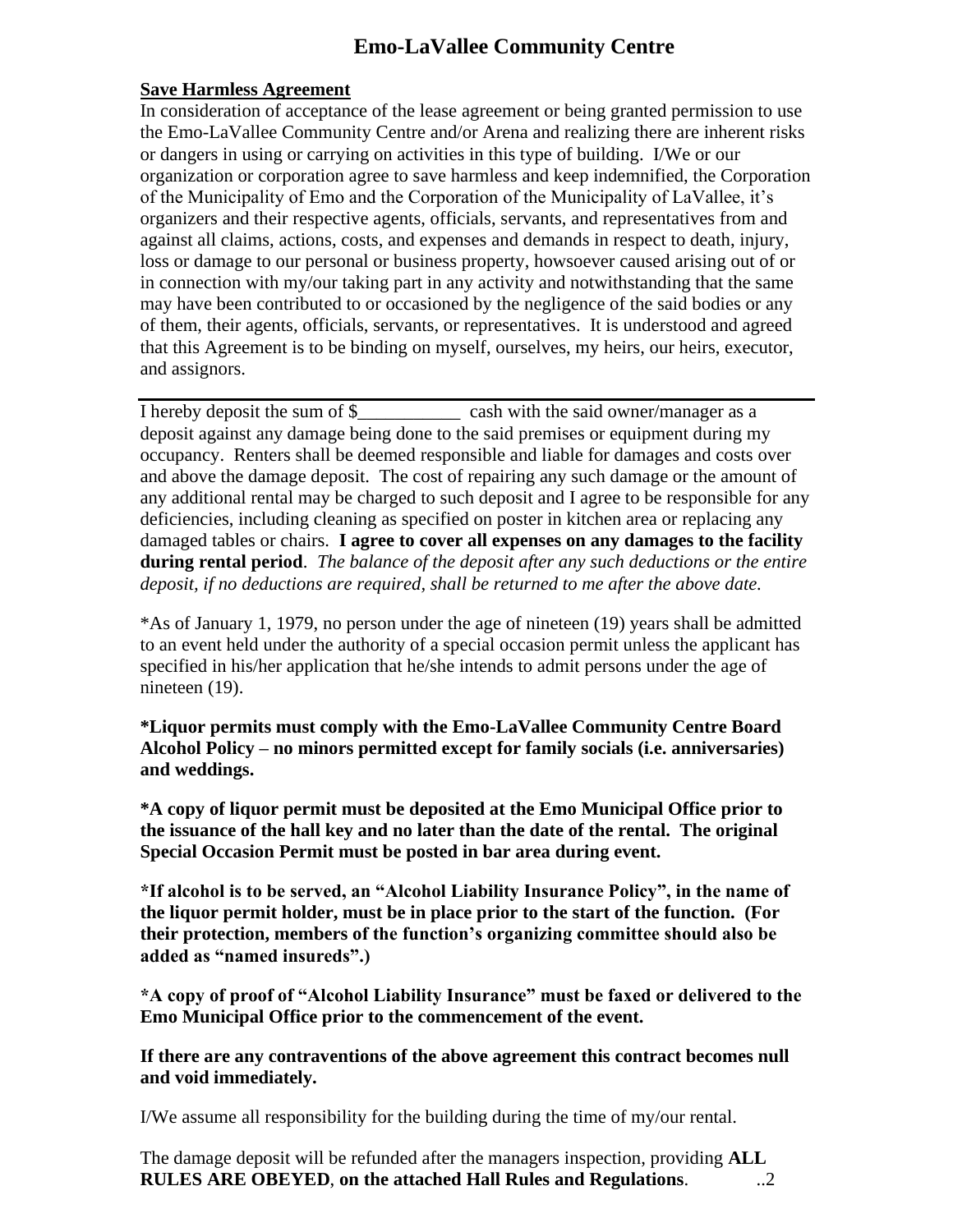# **Emo-LaVallee Community Centre**

## **Save Harmless Agreement**

In consideration of acceptance of the lease agreement or being granted permission to use the Emo-LaVallee Community Centre and/or Arena and realizing there are inherent risks or dangers in using or carrying on activities in this type of building. I/We or our organization or corporation agree to save harmless and keep indemnified, the Corporation of the Municipality of Emo and the Corporation of the Municipality of LaVallee, it's organizers and their respective agents, officials, servants, and representatives from and against all claims, actions, costs, and expenses and demands in respect to death, injury, loss or damage to our personal or business property, howsoever caused arising out of or in connection with my/our taking part in any activity and notwithstanding that the same may have been contributed to or occasioned by the negligence of the said bodies or any of them, their agents, officials, servants, or representatives. It is understood and agreed that this Agreement is to be binding on myself, ourselves, my heirs, our heirs, executor, and assignors.

I hereby deposit the sum of \$ cash with the said owner/manager as a deposit against any damage being done to the said premises or equipment during my occupancy. Renters shall be deemed responsible and liable for damages and costs over and above the damage deposit. The cost of repairing any such damage or the amount of any additional rental may be charged to such deposit and I agree to be responsible for any deficiencies, including cleaning as specified on poster in kitchen area or replacing any damaged tables or chairs. **I agree to cover all expenses on any damages to the facility during rental period**. *The balance of the deposit after any such deductions or the entire deposit, if no deductions are required, shall be returned to me after the above date.*

\*As of January 1, 1979, no person under the age of nineteen (19) years shall be admitted to an event held under the authority of a special occasion permit unless the applicant has specified in his/her application that he/she intends to admit persons under the age of nineteen (19).

**\*Liquor permits must comply with the Emo-LaVallee Community Centre Board Alcohol Policy – no minors permitted except for family socials (i.e. anniversaries) and weddings.**

**\*A copy of liquor permit must be deposited at the Emo Municipal Office prior to the issuance of the hall key and no later than the date of the rental. The original Special Occasion Permit must be posted in bar area during event.**

**\*If alcohol is to be served, an "Alcohol Liability Insurance Policy", in the name of the liquor permit holder, must be in place prior to the start of the function. (For their protection, members of the function's organizing committee should also be added as "named insureds".)**

**\*A copy of proof of "Alcohol Liability Insurance" must be faxed or delivered to the Emo Municipal Office prior to the commencement of the event.**

**If there are any contraventions of the above agreement this contract becomes null and void immediately.**

I/We assume all responsibility for the building during the time of my/our rental.

The damage deposit will be refunded after the managers inspection, providing **ALL RULES ARE OBEYED**, **on the attached Hall Rules and Regulations**. ..2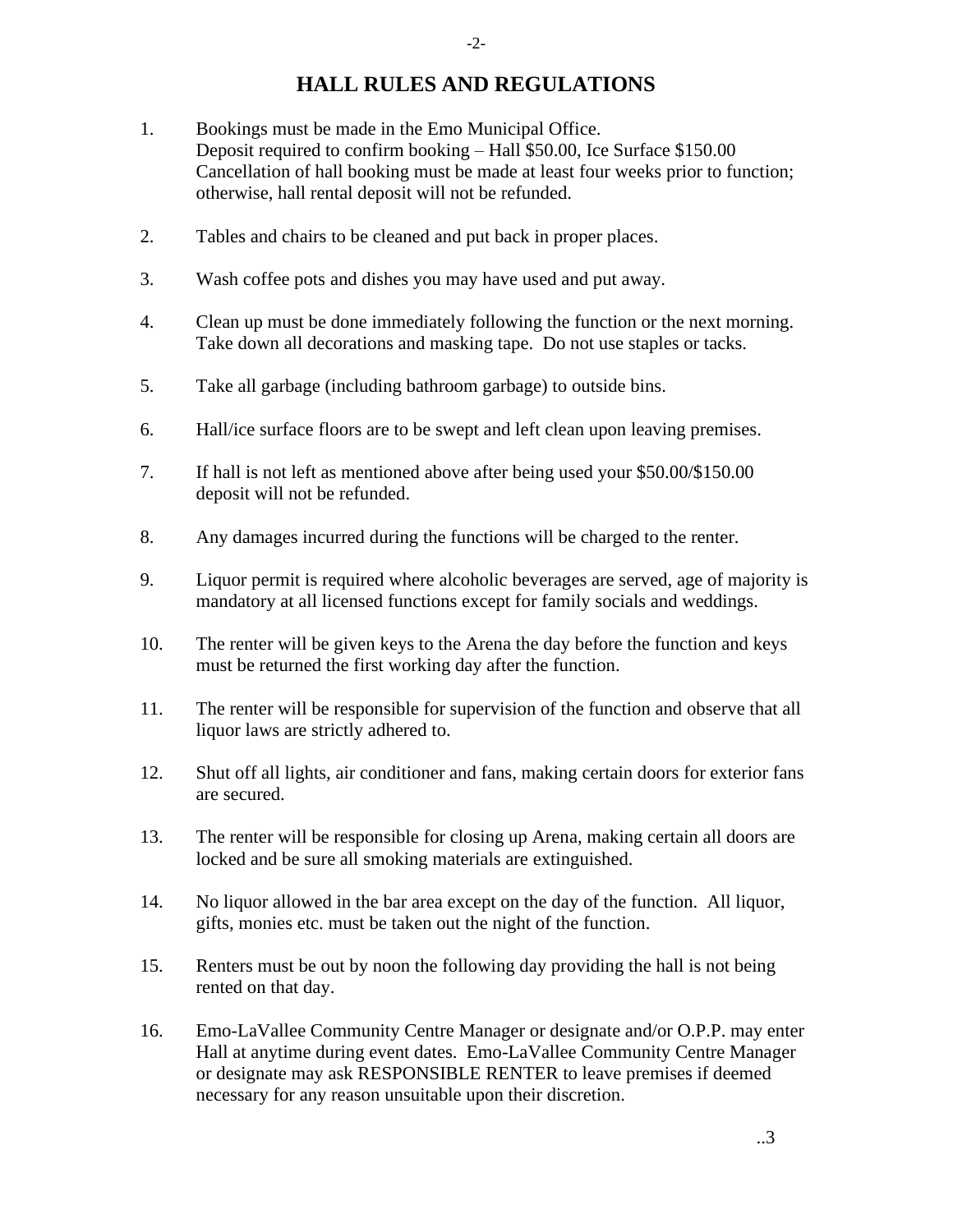# **HALL RULES AND REGULATIONS**

- 1. Bookings must be made in the Emo Municipal Office. Deposit required to confirm booking – Hall \$50.00, Ice Surface \$150.00 Cancellation of hall booking must be made at least four weeks prior to function; otherwise, hall rental deposit will not be refunded.
- 2. Tables and chairs to be cleaned and put back in proper places.
- 3. Wash coffee pots and dishes you may have used and put away.
- 4. Clean up must be done immediately following the function or the next morning. Take down all decorations and masking tape. Do not use staples or tacks.
- 5. Take all garbage (including bathroom garbage) to outside bins.
- 6. Hall/ice surface floors are to be swept and left clean upon leaving premises.
- 7. If hall is not left as mentioned above after being used your \$50.00/\$150.00 deposit will not be refunded.
- 8. Any damages incurred during the functions will be charged to the renter.
- 9. Liquor permit is required where alcoholic beverages are served, age of majority is mandatory at all licensed functions except for family socials and weddings.
- 10. The renter will be given keys to the Arena the day before the function and keys must be returned the first working day after the function.
- 11. The renter will be responsible for supervision of the function and observe that all liquor laws are strictly adhered to.
- 12. Shut off all lights, air conditioner and fans, making certain doors for exterior fans are secured.
- 13. The renter will be responsible for closing up Arena, making certain all doors are locked and be sure all smoking materials are extinguished.
- 14. No liquor allowed in the bar area except on the day of the function. All liquor, gifts, monies etc. must be taken out the night of the function.
- 15. Renters must be out by noon the following day providing the hall is not being rented on that day.
- 16. Emo-LaVallee Community Centre Manager or designate and/or O.P.P. may enter Hall at anytime during event dates. Emo-LaVallee Community Centre Manager or designate may ask RESPONSIBLE RENTER to leave premises if deemed necessary for any reason unsuitable upon their discretion.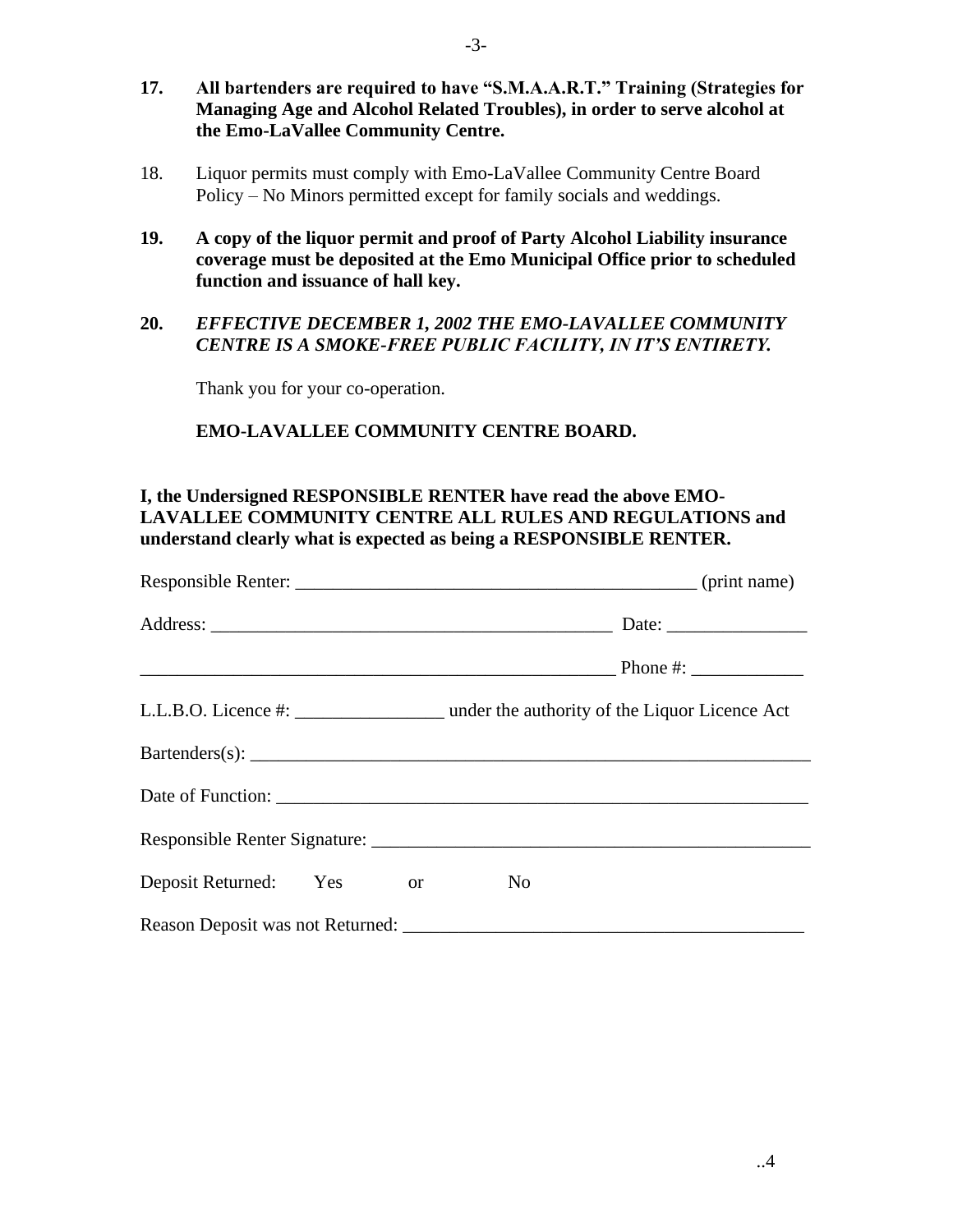- **17. All bartenders are required to have "S.M.A.A.R.T." Training (Strategies for Managing Age and Alcohol Related Troubles), in order to serve alcohol at the Emo-LaVallee Community Centre.**
- 18. Liquor permits must comply with Emo-LaVallee Community Centre Board Policy – No Minors permitted except for family socials and weddings.
- **19. A copy of the liquor permit and proof of Party Alcohol Liability insurance coverage must be deposited at the Emo Municipal Office prior to scheduled function and issuance of hall key.**

### **20.** *EFFECTIVE DECEMBER 1, 2002 THE EMO-LAVALLEE COMMUNITY CENTRE IS A SMOKE-FREE PUBLIC FACILITY, IN IT'S ENTIRETY.*

Thank you for your co-operation.

## **EMO-LAVALLEE COMMUNITY CENTRE BOARD.**

## **I, the Undersigned RESPONSIBLE RENTER have read the above EMO-LAVALLEE COMMUNITY CENTRE ALL RULES AND REGULATIONS and understand clearly what is expected as being a RESPONSIBLE RENTER.**

| Deposit Returned: Yes or | N <sub>0</sub> |
|--------------------------|----------------|
|                          |                |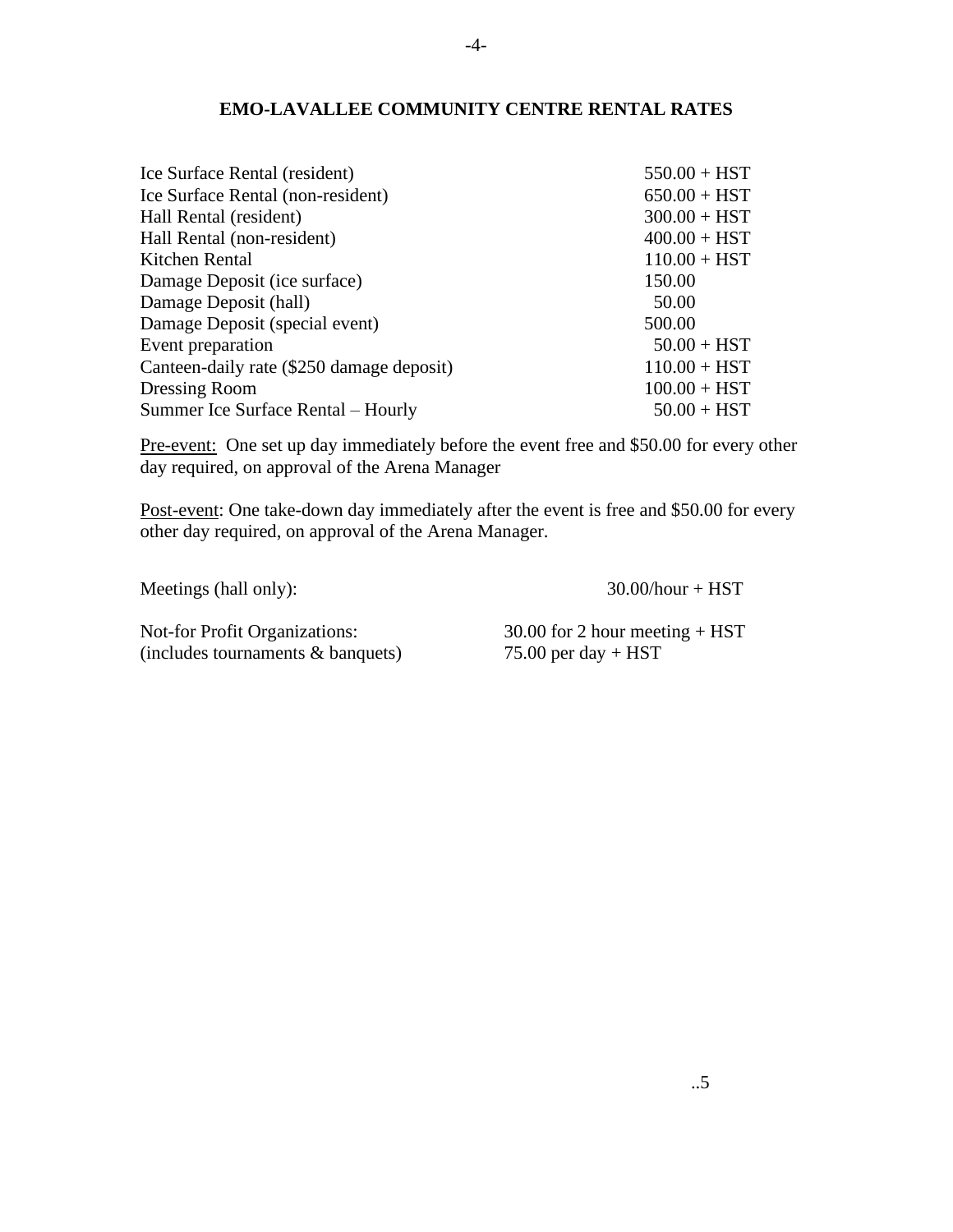#### **EMO-LAVALLEE COMMUNITY CENTRE RENTAL RATES**

| Ice Surface Rental (resident)             | $550.00 + HST$ |
|-------------------------------------------|----------------|
| Ice Surface Rental (non-resident)         | $650.00 + HST$ |
| Hall Rental (resident)                    | $300.00 + HST$ |
| Hall Rental (non-resident)                | $400.00 + HST$ |
| Kitchen Rental                            | $110.00 + HST$ |
| Damage Deposit (ice surface)              | 150.00         |
| Damage Deposit (hall)                     | 50.00          |
| Damage Deposit (special event)            | 500.00         |
| Event preparation                         | $50.00 + HST$  |
| Canteen-daily rate (\$250 damage deposit) | $110.00 + HST$ |
| Dressing Room                             | $100.00 + HST$ |
| Summer Ice Surface Rental – Hourly        | $50.00 + HST$  |

Pre-event: One set up day immediately before the event free and \$50.00 for every other day required, on approval of the Arena Manager

Post-event: One take-down day immediately after the event is free and \$50.00 for every other day required, on approval of the Arena Manager.

Meetings (hall only): 30.00/hour + HST

Not-for Profit Organizations: 30.00 for 2 hour meeting + HST<br>(includes tournaments & banquets) 75.00 per day + HST  $(includes tournaments & banquests)$